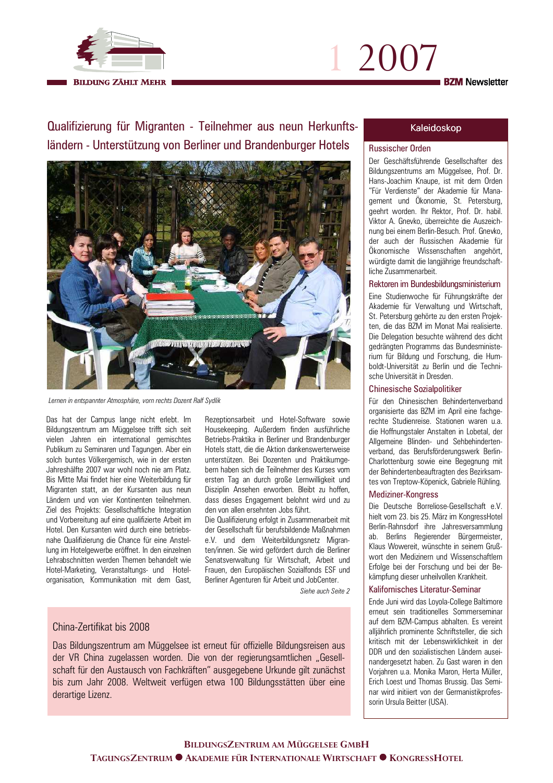

# 1 2007 **BZM** Newsletter

Qualifizierung für Migranten - Teilnehmer aus neun Herkunftsländern - Unterstützung von Berliner und Brandenburger Hotels



Lernen in entspannter Atmosphäre, vorn rechts Dozent Ralf Sydlik

Das hat der Campus lange nicht erlebt. Im Bildungszentrum am Müggelsee trifft sich seit vielen Jahren ein international gemischtes Publikum zu Seminaren und Tagungen. Aber ein solch buntes Völkergemisch, wie in der ersten Jahreshälfte 2007 war wohl noch nie am Platz. Bis Mitte Mai findet hier eine Weiterbildung für Migranten statt, an der Kursanten aus neun Ländern und von vier Kontinenten teilnehmen. Ziel des Projekts: Gesellschaftliche Integration und Vorbereitung auf eine qualifizierte Arbeit im Hotel. Den Kursanten wird durch eine betriebsnahe Qualifizierung die Chance für eine Anstellung im Hotelgewerbe eröffnet. In den einzelnen Lehrabschnitten werden Themen behandelt wie Hotel-Marketing, Veranstaltungs- und Hotelorganisation, Kommunikation mit dem Gast,

Rezeptionsarbeit und Hotel-Software sowie Housekeeping. Außerdem finden ausführliche Betriebs-Praktika in Berliner und Brandenburger Hotels statt, die die Aktion dankenswerterweise unterstützen. Bei Dozenten und Praktikumgebern haben sich die Teilnehmer des Kurses vom ersten Tag an durch große Lernwilligkeit und Disziplin Ansehen erworben. Bleibt zu hoffen, dass dieses Engagement belohnt wird und zu den von allen ersehnten Jobs führt

Die Qualifizierung erfolgt in Zusammenarbeit mit der Gesellschaft für berufsbildende Maßnahmen e.V. und dem Weiterbildungsnetz Migranten/innen. Sie wird gefördert durch die Berliner Senatsverwaltung für Wirtschaft, Arbeit und Frauen, den Europäischen Sozialfonds ESF und Berliner Agenturen für Arbeit und JobCenter.

Siehe auch Seite 2

# China-Zertifikat bis 2008

Das Bildungszentrum am Müggelsee ist erneut für offizielle Bildungsreisen aus der VR China zugelassen worden. Die von der regierungsamtlichen "Gesellschaft für den Austausch von Fachkräften" ausgegebene Urkunde gilt zunächst bis zum Jahr 2008. Weltweit verfügen etwa 100 Bildungsstätten über eine derartige Lizenz.

## Kaleidoskop

#### **Russischer Orden**

Der Geschäftsführende Gesellschafter des Bildungszentrums am Müggelsee, Prof. Dr. Hans-Joachim Knaupe, ist mit dem Orden "Für Verdienste" der Akademie für Management und Ökonomie. St. Petersburg. geehrt worden. Ihr Rektor, Prof. Dr. habil. Viktor A. Gnevko, überreichte die Auszeichnung bei einem Berlin-Besuch. Prof. Gnevko, der auch der Russischen Akademie für Ökonomische Wissenschaften angehört, würdigte damit die langjährige freundschaftliche Zusammenarbeit.

#### Rektoren im Bundesbildungsministerium

Eine Studienwoche für Führungskräfte der Akademie für Verwaltung und Wirtschaft. St. Petersburg gehörte zu den ersten Projekten, die das BZM im Monat Mai realisierte. Die Delegation besuchte während des dicht gedrängten Programms das Bundesministerium für Bildung und Forschung, die Humboldt-Universität zu Berlin und die Technische Universität in Dresden

#### **Chinesische Sozialpolitiker**

Für den Chinesischen Behindertenverband organisierte das BZM im April eine fachgerechte Studienreise. Stationen waren u.a. die Hoffnungstaler Anstalten in Lobetal, der Allgemeine Blinden- und Sehbehindertenverband, das Berufsförderungswerk Berlin-Charlottenburg sowie eine Begegnung mit der Behindertenbeauftragten des Bezirksamtes von Treptow-Köpenick, Gabriele Rühling.

#### Mediziner-Kongress

Die Deutsche Borreliose-Gesellschaft e.V. hielt vom 23. bis 25. März im KongressHotel Berlin-Rahnsdorf ihre Jahresversammlung ab. Berlins Regierender Bürgermeister, Klaus Wowereit, wünschte in seinem Grußwort den Medizinern und Wissenschaftlern Erfolge bei der Forschung und bei der Bekämpfung dieser unheilvollen Krankheit

#### Kalifornisches Literatur-Seminar

Ende Juni wird das Loyola-College Baltimore erneut sein traditionelles Sommerseminar auf dem BZM-Campus abhalten. Es vereint alljährlich prominente Schriftsteller, die sich kritisch mit der Lebenswirklichkeit in der DDR und den sozialistischen Ländern auseinandergesetzt haben. Zu Gast waren in den Vorjahren u.a. Monika Maron, Herta Müller, Erich Loest und Thomas Brussig. Das Seminar wird initiiert von der Germanistikprofessorin Ursula Beitter (USA).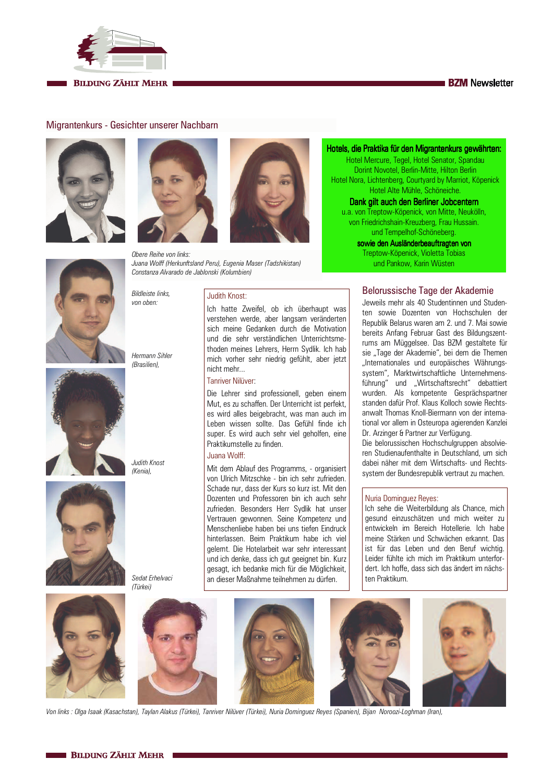



## **BILDUNG ZÄHLT MEHR**

# Migrantenkurs - Gesichter unserer Nachbarn









**Rildleiste links** 

Hermann Sihler

(Brasilien),

Judith Knost

Sedat Frhelvaci

(Türkei)

(Kenia).

von oben:



Obere Reihe von links Juana Wolff (Herkunftsland Peru), Eugenia Maser (Tadshikistan) Constanza Alvarado de Jablonski (Kolumbien)

#### Judith Knost:

Ich hatte Zweifel, ob ich überhaupt was verstehen werde, aber langsam veränderten sich meine Gedanken durch die Motivation und die sehr verständlichen Unterrichtsmethoden meines Lehrers, Herrn Sydlik. Ich hab mich vorher sehr niedrig gefühlt, aber jetzt nicht mehr...

# Tanriver Nilüver

Die Lehrer sind professionell, geben einem Mut. es zu schaffen. Der Unterricht ist perfekt. es wird alles beigebracht, was man auch im Leben wissen sollte. Das Gefühl finde ich super. Es wird auch sehr viel geholfen, eine Praktikumstelle zu finden

#### Juana Wolff:

Mit dem Ablauf des Programms, - organisiert von Ulrich Mitzschke - bin ich sehr zufrieden Schade nur, dass der Kurs so kurz ist. Mit den Dozenten und Professoren bin ich auch sehr zufrieden. Besonders Herr Sydlik hat unser Vertrauen gewonnen. Seine Kompetenz und Menschenliebe haben bei uns tiefen Eindruck hinterlassen. Beim Praktikum habe ich viel gelernt. Die Hotelarbeit war sehr interessant und ich denke, dass ich gut geeignet bin. Kurz gesagt, ich bedanke mich für die Möglichkeit, an dieser Maßnahme teilnehmen zu dürfen.

Hotels, die Praktika für den Migrantenkurs gewährten:

Hotel Mercure, Tegel, Hotel Senator, Spandau Dorint Novotel, Berlin-Mitte, Hilton Berlin Hotel Nora, Lichtenberg, Courtyard by Marriot, Köpenick Hotel Alte Mühle, Schöneiche.

## Dank gilt auch den Berliner Jobcentern

u a von Trentow-Könenick von Mitte Neukölln von Friedrichshain-Kreuzberg, Frau Hussain. und Tempelhof-Schöneberg.

sowie den Ausländerbeauftragten von Treptow-Köpenick, Violetta Tobias

und Pankow, Karin Wüsten

#### Belorussische Tage der Akademie

Jeweils mehr als 40 Studentinnen und Studenten sowie Dozenten von Hochschulen der Republik Belarus waren am 2, und 7. Mai sowie bereits Anfang Februar Gast des Bildungszentrums am Müggelsee. Das BZM gestaltete für sie Tage der Akademie" bei dem die Themen "Internationales und europäisches Währungssystem", Marktwirtschaftliche Unternehmensführung" und "Wirtschaftsrecht" debattiert wurden. Als kompetente Gesprächspartner standen dafür Prof. Klaus Kolloch sowie Rechtsanwalt Thomas Knoll-Biermann von der international vor allem in Osteuropa agierenden Kanzlei Dr. Arzinger & Partner zur Verfügung.

Die belorussischen Hochschulgruppen absolvieren Studienaufenthalte in Deutschland, um sich dabei näher mit dem Wirtschafts- und Rechtssystem der Bundesrepublik vertraut zu machen.

#### Nuria Dominguez Reyes:

Ich sehe die Weiterbildung als Chance, mich gesund einzuschätzen und mich weiter zu entwickeln im Bereich Hotellerie. Ich habe meine Stärken und Schwächen erkannt. Das ist für das Leben und den Beruf wichtig. Leider fühlte ich mich im Praktikum unterfordert. Ich hoffe, dass sich das ändert im nächston Praktikum



Von links : Olga Isaak (Kasachstan), Taylan Alakus (Türkei), Tanriver Nilüver (Türkei), Nuria Dominguez Reyes (Spanien), Bijan Noroozi-Loghman (Iran),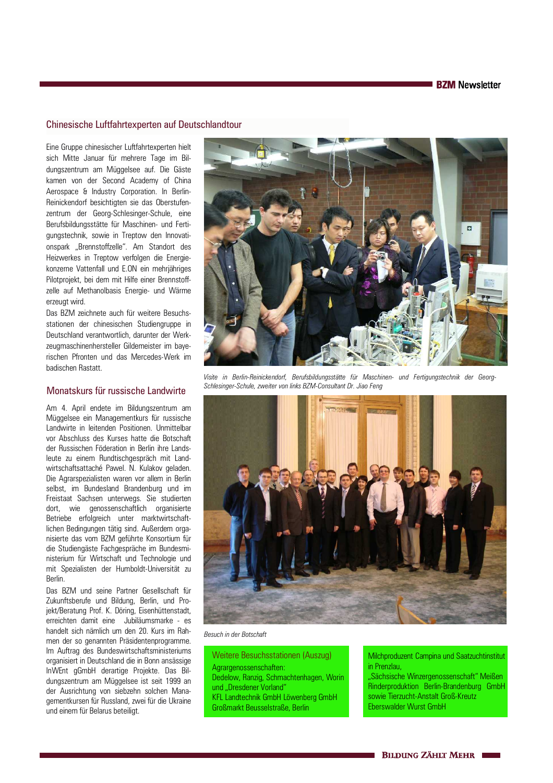## Chinesische Luftfahrtexperten auf Deutschlandtour

Eine Gruppe chinesischer Luftfahrtexperten hielt sich Mitte Januar für mehrere Tage im Bildungszentrum am Müggelsee auf. Die Gäste kamen von der Second Academy of China Aerospace & Industry Corporation. In Berlin-Reinickendorf besichtigten sie das Oberstufenzentrum der Georg-Schlesinger-Schule, eine Berufsbildungsstätte für Maschinen- und Fertiqungstechnik, sowie in Treptow den Innovationspark "Brennstoffzelle". Am Standort des Heizwerkes in Treptow verfolgen die Energiekonzerne Vattenfall und E.ON ein mehrjähriges Pilotprojekt, bei dem mit Hilfe einer Brennstoffzelle auf Methanolbasis Energie- und Wärme erzeugt wird.

Das BZM zeichnete auch für weitere Besuchsstationen der chinesischen Studiengruppe in Deutschland verantwortlich, darunter der Werkzeugmaschinenhersteller Gildemeister im baverischen Pfronten und das Mercedes-Werk im badischen Rastatt.

## Monatskurs für russische Landwirte

Am 4. April endete im Bildungszentrum am Müggelsee ein Managementkurs für russische Landwirte in leitenden Positionen. Unmittelbar vor Abschluss des Kurses hatte die Botschaft der Russischen Föderation in Berlin ihre Landsleute zu einem Rundtischgespräch mit Landwirtschaftsattaché Pawel. N. Kulakov geladen. Die Agrarspezialisten waren vor allem in Berlin selbst, im Bundesland Brandenburg und im Freistaat Sachsen unterwegs. Sie studierten dort, wie genossenschaftlich organisierte Betriebe erfolgreich unter marktwirtschaftlichen Bedingungen tätig sind. Außerdem organisierte das vom BZM geführte Konsortium für die Studiengäste Fachgespräche im Bundesministerium für Wirtschaft und Technologie und mit Spezialisten der Humboldt-Universität zu **Rerlin** 

Das BZM und seine Partner Gesellschaft für Zukunftsberufe und Bildung, Berlin, und Projekt/Beratung Prof. K. Döring, Eisenhüttenstadt, erreichten damit eine Jubiläumsmarke - es handelt sich nämlich um den 20. Kurs im Rahmen der so genannten Präsidentenprogramme. Im Auftrag des Bundeswirtschaftsministeriums organisiert in Deutschland die in Bonn ansässige InWEnt gGmbH derartige Projekte. Das Bildungszentrum am Müggelsee ist seit 1999 an der Ausrichtung von siebzehn solchen Managementkursen für Russland, zwei für die Ukraine und einem für Belarus beteiligt.



Visite in Berlin-Reinickendorf, Berufsbildungsstätte für Maschinen- und Fertigungstechnik der Georg-Schlesinger-Schule, zweiter von links BZM-Consultant Dr. Jiao Feng



Besuch in der Botschaft

**Weitere Besuchsstationen (Auszug)** Agrargenossenschaften: Dedelow, Ranzig, Schmachtenhagen, Worin und "Dresdener Vorland" KFL Landtechnik GmbH Löwenberg GmbH Großmarkt Beusselstraße, Berlin

Milchproduzent Campina und Saatzuchtinstitut in Prenzlau.

"Sächsische Winzergenossenschaft" Meißen Rinderproduktion Berlin-Brandenburg GmbH sowie Tierzucht-Anstalt Groß-Kreutz Eberswalder Wurst GmbH